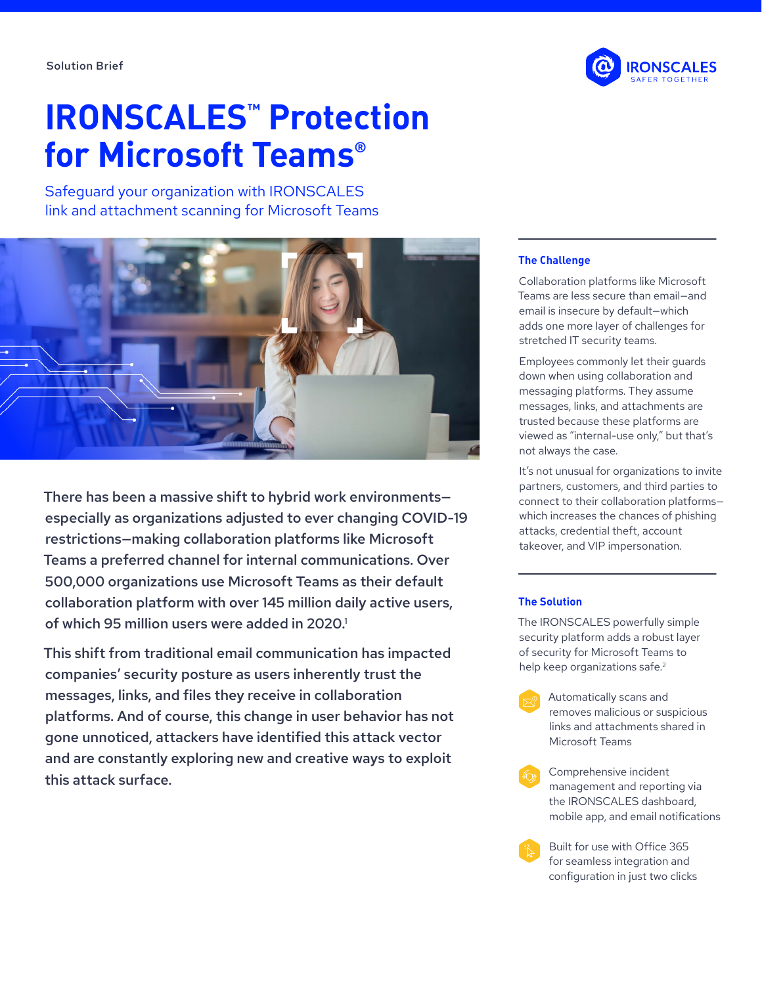# **IRONSCALES™ Protection for Microsoft Teams®**

Safeguard your organization with IRONSCALES link and attachment scanning for Microsoft Teams



There has been a massive shift to hybrid work environments especially as organizations adjusted to ever changing COVID-19 restrictions—making collaboration platforms like Microsoft Teams a preferred channel for internal communications. Over 500,000 organizations use Microsoft Teams as their default collaboration platform with over 145 million daily active users, of which 95 million users were added in 2020.1

This shift from traditional email communication has impacted companies' security posture as users inherently trust the messages, links, and files they receive in collaboration platforms. And of course, this change in user behavior has not gone unnoticed, attackers have identified this attack vector and are constantly exploring new and creative ways to exploit this attack surface.



#### **The Challenge**

Collaboration platforms like Microsoft Teams are less secure than email—and email is insecure by default—which adds one more layer of challenges for stretched IT security teams.

Employees commonly let their guards down when using collaboration and messaging platforms. They assume messages, links, and attachments are trusted because these platforms are viewed as "internal-use only," but that's not always the case.

It's not unusual for organizations to invite partners, customers, and third parties to connect to their collaboration platforms which increases the chances of phishing attacks, credential theft, account takeover, and VIP impersonation.

#### **The Solution**

The IRONSCALES powerfully simple security platform adds a robust layer of security for Microsoft Teams to help keep organizations safe.<sup>2</sup>

- Automatically scans and removes malicious or suspicious links and attachments shared in Microsoft Teams
- Comprehensive incident management and reporting via the IRONSCALES dashboard, mobile app, and email notifications

Built for use with Office 365 for seamless integration and configuration in just two clicks